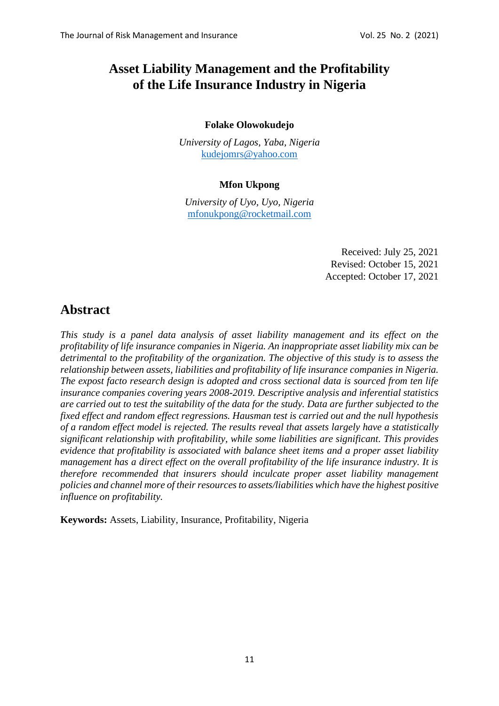# **Asset Liability Management and the Profitability of the Life Insurance Industry in Nigeria**

## **Folake Olowokudejo**

*University of Lagos, Yaba, Nigeria* [kudejomrs@yahoo.com](file:///C:/Users/Martin/Google%20Drive/Teaching/Journal/vol25no2/kudejomrs@yahoo.com)

## **Mfon Ukpong**

*University of Uyo, Uyo, Nigeria*  [mfonukpong@rocketmail.com](mailto:mfonukpong@rocketmail.com)

> Received: July 25, 2021 Revised: October 15, 2021 Accepted: October 17, 2021

# **Abstract**

*This study is a panel data analysis of asset liability management and its effect on the profitability of life insurance companies in Nigeria. An inappropriate asset liability mix can be detrimental to the profitability of the organization. The objective of this study is to assess the relationship between assets, liabilities and profitability of life insurance companies in Nigeria. The expost facto research design is adopted and cross sectional data is sourced from ten life insurance companies covering years 2008-2019. Descriptive analysis and inferential statistics are carried out to test the suitability of the data for the study. Data are further subjected to the fixed effect and random effect regressions. Hausman test is carried out and the null hypothesis of a random effect model is rejected. The results reveal that assets largely have a statistically significant relationship with profitability, while some liabilities are significant. This provides evidence that profitability is associated with balance sheet items and a proper asset liability management has a direct effect on the overall profitability of the life insurance industry. It is therefore recommended that insurers should inculcate proper asset liability management policies and channel more of their resources to assets/liabilities which have the highest positive influence on profitability.* 

**Keywords:** Assets, Liability, Insurance, Profitability, Nigeria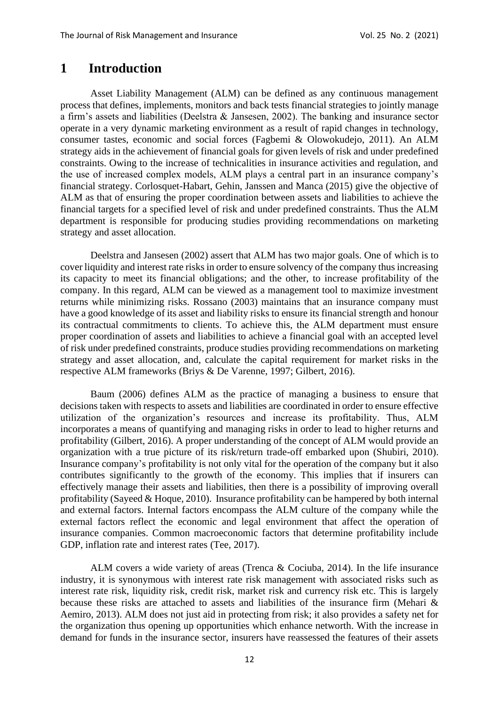## **1 Introduction**

Asset Liability Management (ALM) can be defined as any continuous management process that defines, implements, monitors and back tests financial strategies to jointly manage a firm's assets and liabilities (Deelstra & Jansesen, 2002). The banking and insurance sector operate in a very dynamic marketing environment as a result of rapid changes in technology, consumer tastes, economic and social forces (Fagbemi & Olowokudejo, 2011). An ALM strategy aids in the achievement of financial goals for given levels of risk and under predefined constraints. Owing to the increase of technicalities in insurance activities and regulation, and the use of increased complex models, ALM plays a central part in an insurance company's financial strategy. Corlosquet-Habart, Gehin, Janssen and Manca (2015) give the objective of ALM as that of ensuring the proper coordination between assets and liabilities to achieve the financial targets for a specified level of risk and under predefined constraints. Thus the ALM department is responsible for producing studies providing recommendations on marketing strategy and asset allocation.

Deelstra and Jansesen (2002) assert that ALM has two major goals. One of which is to cover liquidity and interest rate risks in order to ensure solvency of the company thus increasing its capacity to meet its financial obligations; and the other, to increase profitability of the company. In this regard, ALM can be viewed as a management tool to maximize investment returns while minimizing risks. Rossano (2003) maintains that an insurance company must have a good knowledge of its asset and liability risks to ensure its financial strength and honour its contractual commitments to clients. To achieve this, the ALM department must ensure proper coordination of assets and liabilities to achieve a financial goal with an accepted level of risk under predefined constraints, produce studies providing recommendations on marketing strategy and asset allocation, and, calculate the capital requirement for market risks in the respective ALM frameworks (Briys & De Varenne, 1997; Gilbert, 2016).

Baum (2006) defines ALM as the practice of managing a business to ensure that decisions taken with respects to assets and liabilities are coordinated in order to ensure effective utilization of the organization's resources and increase its profitability. Thus, ALM incorporates a means of quantifying and managing risks in order to lead to higher returns and profitability (Gilbert, 2016). A proper understanding of the concept of ALM would provide an organization with a true picture of its risk/return trade-off embarked upon (Shubiri, 2010). Insurance company's profitability is not only vital for the operation of the company but it also contributes significantly to the growth of the economy. This implies that if insurers can effectively manage their assets and liabilities, then there is a possibility of improving overall profitability (Sayeed & Hoque, 2010). Insurance profitability can be hampered by both internal and external factors. Internal factors encompass the ALM culture of the company while the external factors reflect the economic and legal environment that affect the operation of insurance companies. Common macroeconomic factors that determine profitability include GDP, inflation rate and interest rates (Tee, 2017).

ALM covers a wide variety of areas (Trenca & Cociuba, 2014). In the life insurance industry, it is synonymous with interest rate risk management with associated risks such as interest rate risk, liquidity risk, credit risk, market risk and currency risk etc. This is largely because these risks are attached to assets and liabilities of the insurance firm (Mehari & Aemiro, 2013). ALM does not just aid in protecting from risk; it also provides a safety net for the organization thus opening up opportunities which enhance networth. With the increase in demand for funds in the insurance sector, insurers have reassessed the features of their assets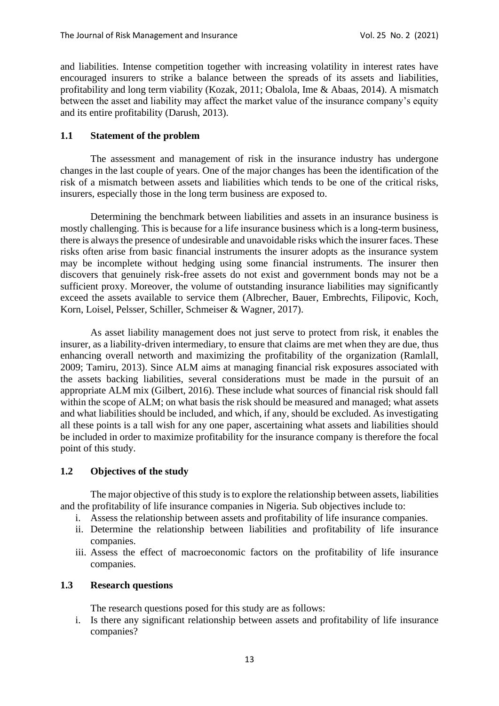and liabilities. Intense competition together with increasing volatility in interest rates have encouraged insurers to strike a balance between the spreads of its assets and liabilities, profitability and long term viability (Kozak, 2011; Obalola, Ime & Abaas, 2014). A mismatch between the asset and liability may affect the market value of the insurance company's equity and its entire profitability (Darush, 2013).

## **1.1 Statement of the problem**

The assessment and management of risk in the insurance industry has undergone changes in the last couple of years. One of the major changes has been the identification of the risk of a mismatch between assets and liabilities which tends to be one of the critical risks, insurers, especially those in the long term business are exposed to.

Determining the benchmark between liabilities and assets in an insurance business is mostly challenging. This is because for a life insurance business which is a long-term business, there is always the presence of undesirable and unavoidable risks which the insurer faces. These risks often arise from basic financial instruments the insurer adopts as the insurance system may be incomplete without hedging using some financial instruments. The insurer then discovers that genuinely risk-free assets do not exist and government bonds may not be a sufficient proxy. Moreover, the volume of outstanding insurance liabilities may significantly exceed the assets available to service them (Albrecher, Bauer, Embrechts, Filipovic, Koch, Korn, Loisel, Pelsser, Schiller, Schmeiser & Wagner, 2017).

As asset liability management does not just serve to protect from risk, it enables the insurer, as a liability-driven intermediary, to ensure that claims are met when they are due, thus enhancing overall networth and maximizing the profitability of the organization (Ramlall, 2009; Tamiru, 2013). Since ALM aims at managing financial risk exposures associated with the assets backing liabilities, several considerations must be made in the pursuit of an appropriate ALM mix (Gilbert, 2016). These include what sources of financial risk should fall within the scope of ALM; on what basis the risk should be measured and managed; what assets and what liabilities should be included, and which, if any, should be excluded. As investigating all these points is a tall wish for any one paper, ascertaining what assets and liabilities should be included in order to maximize profitability for the insurance company is therefore the focal point of this study.

#### **1.2 Objectives of the study**

The major objective of this study is to explore the relationship between assets, liabilities and the profitability of life insurance companies in Nigeria. Sub objectives include to:

- i. Assess the relationship between assets and profitability of life insurance companies.
- ii. Determine the relationship between liabilities and profitability of life insurance companies.
- iii. Assess the effect of macroeconomic factors on the profitability of life insurance companies.

## **1.3 Research questions**

The research questions posed for this study are as follows:

i. Is there any significant relationship between assets and profitability of life insurance companies?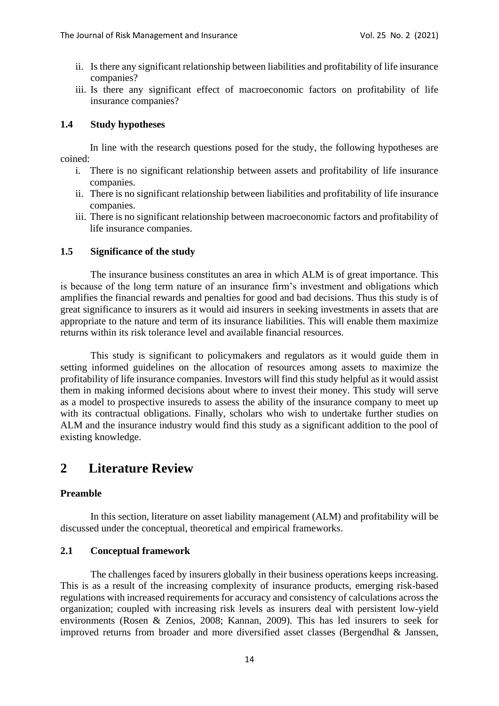- ii. Is there any significant relationship between liabilities and profitability of life insurance companies?
- iii. Is there any significant effect of macroeconomic factors on profitability of life insurance companies?

## **1.4 Study hypotheses**

In line with the research questions posed for the study, the following hypotheses are coined:

- i. There is no significant relationship between assets and profitability of life insurance companies.
- ii. There is no significant relationship between liabilities and profitability of life insurance companies.
- iii. There is no significant relationship between macroeconomic factors and profitability of life insurance companies.

## **1.5 Significance of the study**

The insurance business constitutes an area in which ALM is of great importance. This is because of the long term nature of an insurance firm's investment and obligations which amplifies the financial rewards and penalties for good and bad decisions. Thus this study is of great significance to insurers as it would aid insurers in seeking investments in assets that are appropriate to the nature and term of its insurance liabilities. This will enable them maximize returns within its risk tolerance level and available financial resources.

This study is significant to policymakers and regulators as it would guide them in setting informed guidelines on the allocation of resources among assets to maximize the profitability of life insurance companies. Investors will find this study helpful as it would assist them in making informed decisions about where to invest their money. This study will serve as a model to prospective insureds to assess the ability of the insurance company to meet up with its contractual obligations. Finally, scholars who wish to undertake further studies on ALM and the insurance industry would find this study as a significant addition to the pool of existing knowledge.

# **2 Literature Review**

## **Preamble**

In this section, literature on asset liability management (ALM) and profitability will be discussed under the conceptual, theoretical and empirical frameworks.

#### **2.1 Conceptual framework**

The challenges faced by insurers globally in their business operations keeps increasing. This is as a result of the increasing complexity of insurance products, emerging risk-based regulations with increased requirements for accuracy and consistency of calculations across the organization; coupled with increasing risk levels as insurers deal with persistent low-yield environments (Rosen & Zenios, 2008; Kannan, 2009). This has led insurers to seek for improved returns from broader and more diversified asset classes (Bergendhal & Janssen,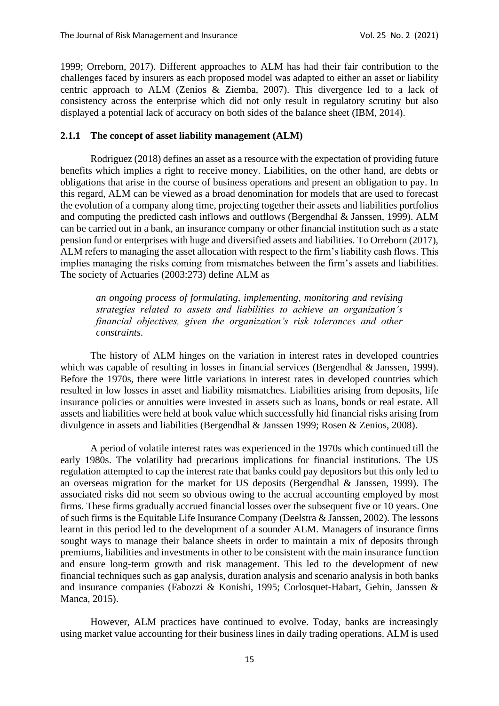1999; Orreborn, 2017). Different approaches to ALM has had their fair contribution to the challenges faced by insurers as each proposed model was adapted to either an asset or liability centric approach to ALM (Zenios & Ziemba, 2007). This divergence led to a lack of consistency across the enterprise which did not only result in regulatory scrutiny but also displayed a potential lack of accuracy on both sides of the balance sheet (IBM, 2014).

#### **2.1.1 The concept of asset liability management (ALM)**

Rodriguez (2018) defines an asset as a resource with the expectation of providing future benefits which implies a right to receive money. Liabilities, on the other hand, are debts or obligations that arise in the course of business operations and present an obligation to pay. In this regard, ALM can be viewed as a broad denomination for models that are used to forecast the evolution of a company along time, projecting together their assets and liabilities portfolios and computing the predicted cash inflows and outflows (Bergendhal & Janssen, 1999). ALM can be carried out in a bank, an insurance company or other financial institution such as a state pension fund or enterprises with huge and diversified assets and liabilities. To Orreborn (2017), ALM refers to managing the asset allocation with respect to the firm's liability cash flows. This implies managing the risks coming from mismatches between the firm's assets and liabilities. The society of Actuaries (2003:273) define ALM as

*an ongoing process of formulating, implementing, monitoring and revising strategies related to assets and liabilities to achieve an organization's financial objectives, given the organization's risk tolerances and other constraints.*

The history of ALM hinges on the variation in interest rates in developed countries which was capable of resulting in losses in financial services (Bergendhal & Janssen, 1999). Before the 1970s, there were little variations in interest rates in developed countries which resulted in low losses in asset and liability mismatches. Liabilities arising from deposits, life insurance policies or annuities were invested in assets such as loans, bonds or real estate. All assets and liabilities were held at book value which successfully hid financial risks arising from divulgence in assets and liabilities (Bergendhal & Janssen 1999; Rosen & Zenios, 2008).

A period of volatile interest rates was experienced in the 1970s which continued till the early 1980s. The volatility had precarious implications for financial institutions. The US regulation attempted to cap the interest rate that banks could pay depositors but this only led to an overseas migration for the market for US deposits (Bergendhal & Janssen, 1999). The associated risks did not seem so obvious owing to the accrual accounting employed by most firms. These firms gradually accrued financial losses over the subsequent five or 10 years. One of such firms is the Equitable Life Insurance Company (Deelstra & Janssen, 2002). The lessons learnt in this period led to the development of a sounder ALM. Managers of insurance firms sought ways to manage their balance sheets in order to maintain a mix of deposits through premiums, liabilities and investments in other to be consistent with the main insurance function and ensure long-term growth and risk management. This led to the development of new financial techniques such as gap analysis, duration analysis and scenario analysis in both banks and insurance companies (Fabozzi & Konishi, 1995; Corlosquet-Habart, Gehin, Janssen & Manca, 2015).

However, ALM practices have continued to evolve. Today, banks are increasingly using market value accounting for their business lines in daily trading operations. ALM is used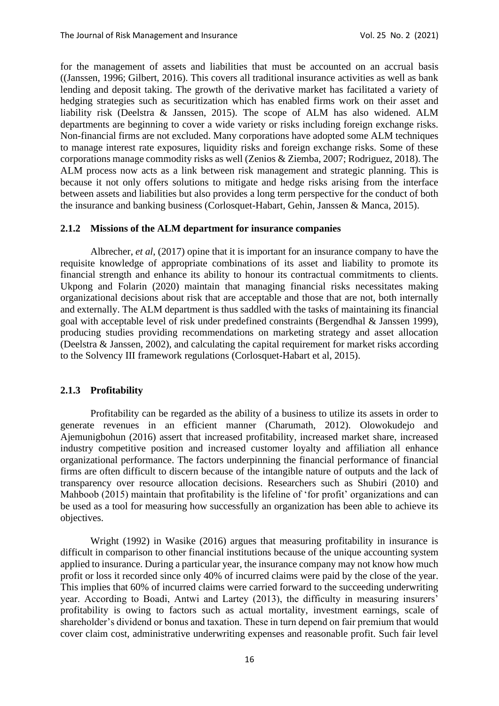for the management of assets and liabilities that must be accounted on an accrual basis ((Janssen, 1996; Gilbert, 2016). This covers all traditional insurance activities as well as bank lending and deposit taking. The growth of the derivative market has facilitated a variety of hedging strategies such as securitization which has enabled firms work on their asset and liability risk (Deelstra & Janssen, 2015). The scope of ALM has also widened. ALM departments are beginning to cover a wide variety or risks including foreign exchange risks. Non-financial firms are not excluded. Many corporations have adopted some ALM techniques to manage interest rate exposures, liquidity risks and foreign exchange risks. Some of these corporations manage commodity risks as well (Zenios & Ziemba, 2007; Rodriguez, 2018). The ALM process now acts as a link between risk management and strategic planning. This is because it not only offers solutions to mitigate and hedge risks arising from the interface between assets and liabilities but also provides a long term perspective for the conduct of both the insurance and banking business (Corlosquet-Habart, Gehin, Janssen & Manca, 2015).

#### **2.1.2 Missions of the ALM department for insurance companies**

Albrecher, *et al*, (2017) opine that it is important for an insurance company to have the requisite knowledge of appropriate combinations of its asset and liability to promote its financial strength and enhance its ability to honour its contractual commitments to clients. Ukpong and Folarin (2020) maintain that managing financial risks necessitates making organizational decisions about risk that are acceptable and those that are not, both internally and externally. The ALM department is thus saddled with the tasks of maintaining its financial goal with acceptable level of risk under predefined constraints (Bergendhal & Janssen 1999), producing studies providing recommendations on marketing strategy and asset allocation (Deelstra & Janssen, 2002), and calculating the capital requirement for market risks according to the Solvency III framework regulations (Corlosquet-Habart et al, 2015).

#### **2.1.3 Profitability**

Profitability can be regarded as the ability of a business to utilize its assets in order to generate revenues in an efficient manner (Charumath, 2012). Olowokudejo and Ajemunigbohun (2016) assert that increased profitability, increased market share, increased industry competitive position and increased customer loyalty and affiliation all enhance organizational performance. The factors underpinning the financial performance of financial firms are often difficult to discern because of the intangible nature of outputs and the lack of transparency over resource allocation decisions. Researchers such as Shubiri (2010) and Mahboob (2015) maintain that profitability is the lifeline of 'for profit' organizations and can be used as a tool for measuring how successfully an organization has been able to achieve its objectives.

Wright (1992) in Wasike (2016) argues that measuring profitability in insurance is difficult in comparison to other financial institutions because of the unique accounting system applied to insurance. During a particular year, the insurance company may not know how much profit or loss it recorded since only 40% of incurred claims were paid by the close of the year. This implies that 60% of incurred claims were carried forward to the succeeding underwriting year. According to Boadi, Antwi and Lartey (2013), the difficulty in measuring insurers' profitability is owing to factors such as actual mortality, investment earnings, scale of shareholder's dividend or bonus and taxation. These in turn depend on fair premium that would cover claim cost, administrative underwriting expenses and reasonable profit. Such fair level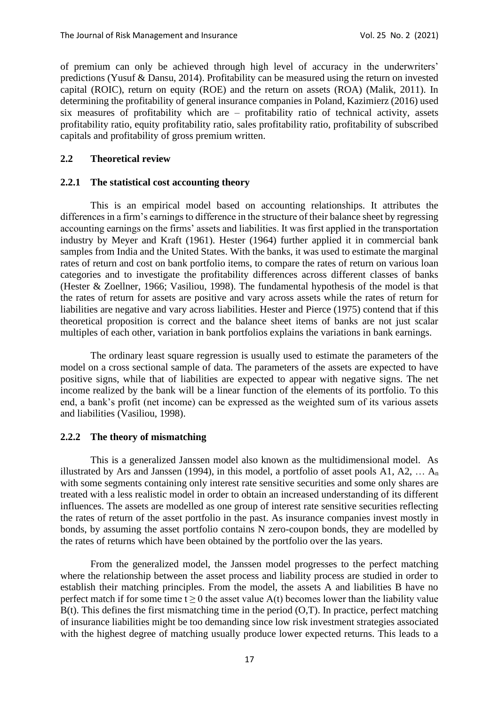of premium can only be achieved through high level of accuracy in the underwriters' predictions (Yusuf & Dansu, 2014). Profitability can be measured using the return on invested capital (ROIC), return on equity (ROE) and the return on assets (ROA) (Malik, 2011). In determining the profitability of general insurance companies in Poland, Kazimierz (2016) used six measures of profitability which are – profitability ratio of technical activity, assets profitability ratio, equity profitability ratio, sales profitability ratio, profitability of subscribed capitals and profitability of gross premium written.

#### **2.2 Theoretical review**

#### **2.2.1 The statistical cost accounting theory**

This is an empirical model based on accounting relationships. It attributes the differences in a firm's earnings to difference in the structure of their balance sheet by regressing accounting earnings on the firms' assets and liabilities. It was first applied in the transportation industry by Meyer and Kraft (1961). Hester (1964) further applied it in commercial bank samples from India and the United States. With the banks, it was used to estimate the marginal rates of return and cost on bank portfolio items, to compare the rates of return on various loan categories and to investigate the profitability differences across different classes of banks (Hester & Zoellner, 1966; Vasiliou, 1998). The fundamental hypothesis of the model is that the rates of return for assets are positive and vary across assets while the rates of return for liabilities are negative and vary across liabilities. Hester and Pierce (1975) contend that if this theoretical proposition is correct and the balance sheet items of banks are not just scalar multiples of each other, variation in bank portfolios explains the variations in bank earnings.

The ordinary least square regression is usually used to estimate the parameters of the model on a cross sectional sample of data. The parameters of the assets are expected to have positive signs, while that of liabilities are expected to appear with negative signs. The net income realized by the bank will be a linear function of the elements of its portfolio. To this end, a bank's profit (net income) can be expressed as the weighted sum of its various assets and liabilities (Vasiliou, 1998).

#### **2.2.2 The theory of mismatching**

This is a generalized Janssen model also known as the multidimensional model. As illustrated by Ars and Janssen (1994), in this model, a portfolio of asset pools A1, A2,  $\dots$  A<sub>n</sub> with some segments containing only interest rate sensitive securities and some only shares are treated with a less realistic model in order to obtain an increased understanding of its different influences. The assets are modelled as one group of interest rate sensitive securities reflecting the rates of return of the asset portfolio in the past. As insurance companies invest mostly in bonds, by assuming the asset portfolio contains N zero-coupon bonds, they are modelled by the rates of returns which have been obtained by the portfolio over the las years.

From the generalized model, the Janssen model progresses to the perfect matching where the relationship between the asset process and liability process are studied in order to establish their matching principles. From the model, the assets A and liabilities B have no perfect match if for some time  $t \ge 0$  the asset value A(t) becomes lower than the liability value  $B(t)$ . This defines the first mismatching time in the period  $(0,T)$ . In practice, perfect matching of insurance liabilities might be too demanding since low risk investment strategies associated with the highest degree of matching usually produce lower expected returns. This leads to a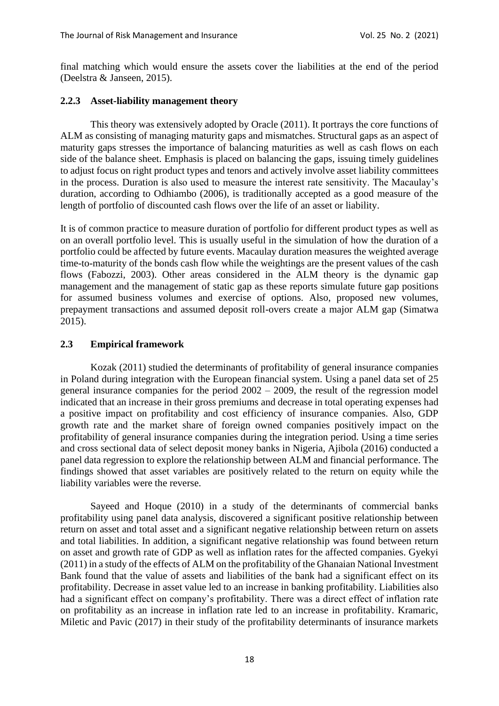final matching which would ensure the assets cover the liabilities at the end of the period (Deelstra & Janseen, 2015).

#### **2.2.3 Asset-liability management theory**

This theory was extensively adopted by Oracle (2011). It portrays the core functions of ALM as consisting of managing maturity gaps and mismatches. Structural gaps as an aspect of maturity gaps stresses the importance of balancing maturities as well as cash flows on each side of the balance sheet. Emphasis is placed on balancing the gaps, issuing timely guidelines to adjust focus on right product types and tenors and actively involve asset liability committees in the process. Duration is also used to measure the interest rate sensitivity. The Macaulay's duration, according to Odhiambo (2006), is traditionally accepted as a good measure of the length of portfolio of discounted cash flows over the life of an asset or liability.

It is of common practice to measure duration of portfolio for different product types as well as on an overall portfolio level. This is usually useful in the simulation of how the duration of a portfolio could be affected by future events. Macaulay duration measures the weighted average time-to-maturity of the bonds cash flow while the weightings are the present values of the cash flows (Fabozzi, 2003). Other areas considered in the ALM theory is the dynamic gap management and the management of static gap as these reports simulate future gap positions for assumed business volumes and exercise of options. Also, proposed new volumes, prepayment transactions and assumed deposit roll-overs create a major ALM gap (Simatwa 2015).

#### **2.3 Empirical framework**

Kozak (2011) studied the determinants of profitability of general insurance companies in Poland during integration with the European financial system. Using a panel data set of 25 general insurance companies for the period 2002 – 2009, the result of the regression model indicated that an increase in their gross premiums and decrease in total operating expenses had a positive impact on profitability and cost efficiency of insurance companies. Also, GDP growth rate and the market share of foreign owned companies positively impact on the profitability of general insurance companies during the integration period. Using a time series and cross sectional data of select deposit money banks in Nigeria, Ajibola (2016) conducted a panel data regression to explore the relationship between ALM and financial performance. The findings showed that asset variables are positively related to the return on equity while the liability variables were the reverse.

Sayeed and Hoque (2010) in a study of the determinants of commercial banks profitability using panel data analysis, discovered a significant positive relationship between return on asset and total asset and a significant negative relationship between return on assets and total liabilities. In addition, a significant negative relationship was found between return on asset and growth rate of GDP as well as inflation rates for the affected companies. Gyekyi (2011) in a study of the effects of ALM on the profitability of the Ghanaian National Investment Bank found that the value of assets and liabilities of the bank had a significant effect on its profitability. Decrease in asset value led to an increase in banking profitability. Liabilities also had a significant effect on company's profitability. There was a direct effect of inflation rate on profitability as an increase in inflation rate led to an increase in profitability. Kramaric, Miletic and Pavic (2017) in their study of the profitability determinants of insurance markets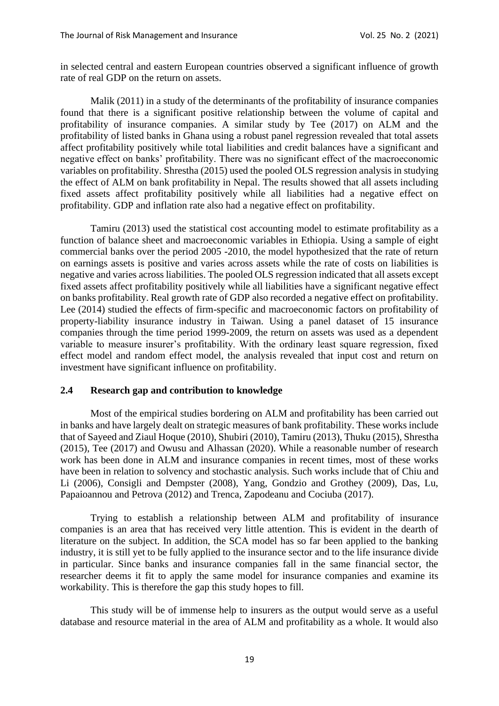in selected central and eastern European countries observed a significant influence of growth rate of real GDP on the return on assets.

Malik (2011) in a study of the determinants of the profitability of insurance companies found that there is a significant positive relationship between the volume of capital and profitability of insurance companies. A similar study by Tee (2017) on ALM and the profitability of listed banks in Ghana using a robust panel regression revealed that total assets affect profitability positively while total liabilities and credit balances have a significant and negative effect on banks' profitability. There was no significant effect of the macroeconomic variables on profitability. Shrestha (2015) used the pooled OLS regression analysis in studying the effect of ALM on bank profitability in Nepal. The results showed that all assets including fixed assets affect profitability positively while all liabilities had a negative effect on profitability. GDP and inflation rate also had a negative effect on profitability.

Tamiru (2013) used the statistical cost accounting model to estimate profitability as a function of balance sheet and macroeconomic variables in Ethiopia. Using a sample of eight commercial banks over the period 2005 -2010, the model hypothesized that the rate of return on earnings assets is positive and varies across assets while the rate of costs on liabilities is negative and varies across liabilities. The pooled OLS regression indicated that all assets except fixed assets affect profitability positively while all liabilities have a significant negative effect on banks profitability. Real growth rate of GDP also recorded a negative effect on profitability. Lee (2014) studied the effects of firm-specific and macroeconomic factors on profitability of property-liability insurance industry in Taiwan. Using a panel dataset of 15 insurance companies through the time period 1999-2009, the return on assets was used as a dependent variable to measure insurer's profitability. With the ordinary least square regression, fixed effect model and random effect model, the analysis revealed that input cost and return on investment have significant influence on profitability.

#### **2.4 Research gap and contribution to knowledge**

Most of the empirical studies bordering on ALM and profitability has been carried out in banks and have largely dealt on strategic measures of bank profitability. These works include that of Sayeed and Ziaul Hoque (2010), Shubiri (2010), Tamiru (2013), Thuku (2015), Shrestha (2015), Tee (2017) and Owusu and Alhassan (2020). While a reasonable number of research work has been done in ALM and insurance companies in recent times, most of these works have been in relation to solvency and stochastic analysis. Such works include that of Chiu and Li (2006), Consigli and Dempster (2008), Yang, Gondzio and Grothey (2009), Das, Lu, Papaioannou and Petrova (2012) and Trenca, Zapodeanu and Cociuba (2017).

Trying to establish a relationship between ALM and profitability of insurance companies is an area that has received very little attention. This is evident in the dearth of literature on the subject. In addition, the SCA model has so far been applied to the banking industry, it is still yet to be fully applied to the insurance sector and to the life insurance divide in particular. Since banks and insurance companies fall in the same financial sector, the researcher deems it fit to apply the same model for insurance companies and examine its workability. This is therefore the gap this study hopes to fill.

This study will be of immense help to insurers as the output would serve as a useful database and resource material in the area of ALM and profitability as a whole. It would also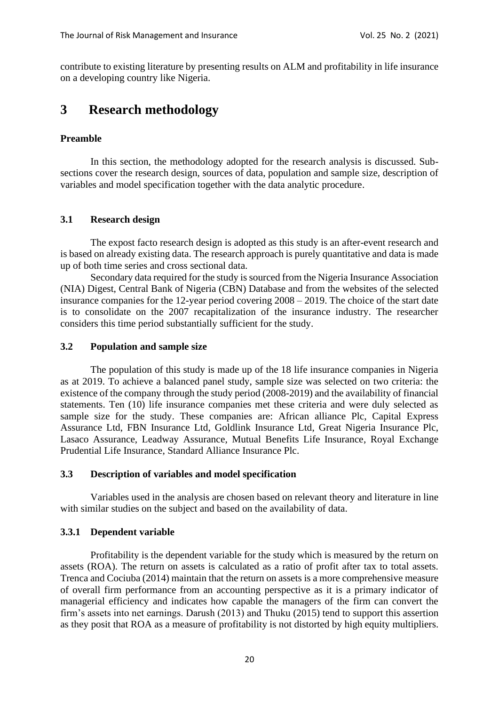contribute to existing literature by presenting results on ALM and profitability in life insurance on a developing country like Nigeria.

# **3 Research methodology**

#### **Preamble**

In this section, the methodology adopted for the research analysis is discussed. Subsections cover the research design, sources of data, population and sample size, description of variables and model specification together with the data analytic procedure.

#### **3.1 Research design**

The expost facto research design is adopted as this study is an after-event research and is based on already existing data. The research approach is purely quantitative and data is made up of both time series and cross sectional data.

Secondary data required for the study is sourced from the Nigeria Insurance Association (NIA) Digest, Central Bank of Nigeria (CBN) Database and from the websites of the selected insurance companies for the 12-year period covering 2008 – 2019. The choice of the start date is to consolidate on the 2007 recapitalization of the insurance industry. The researcher considers this time period substantially sufficient for the study.

#### **3.2 Population and sample size**

The population of this study is made up of the 18 life insurance companies in Nigeria as at 2019. To achieve a balanced panel study, sample size was selected on two criteria: the existence of the company through the study period (2008-2019) and the availability of financial statements. Ten (10) life insurance companies met these criteria and were duly selected as sample size for the study. These companies are: African alliance Plc, Capital Express Assurance Ltd, FBN Insurance Ltd, Goldlink Insurance Ltd, Great Nigeria Insurance Plc, Lasaco Assurance, Leadway Assurance, Mutual Benefits Life Insurance, Royal Exchange Prudential Life Insurance, Standard Alliance Insurance Plc.

#### **3.3 Description of variables and model specification**

Variables used in the analysis are chosen based on relevant theory and literature in line with similar studies on the subject and based on the availability of data.

#### **3.3.1 Dependent variable**

Profitability is the dependent variable for the study which is measured by the return on assets (ROA). The return on assets is calculated as a ratio of profit after tax to total assets. Trenca and Cociuba (2014) maintain that the return on assets is a more comprehensive measure of overall firm performance from an accounting perspective as it is a primary indicator of managerial efficiency and indicates how capable the managers of the firm can convert the firm's assets into net earnings. Darush (2013) and Thuku (2015) tend to support this assertion as they posit that ROA as a measure of profitability is not distorted by high equity multipliers.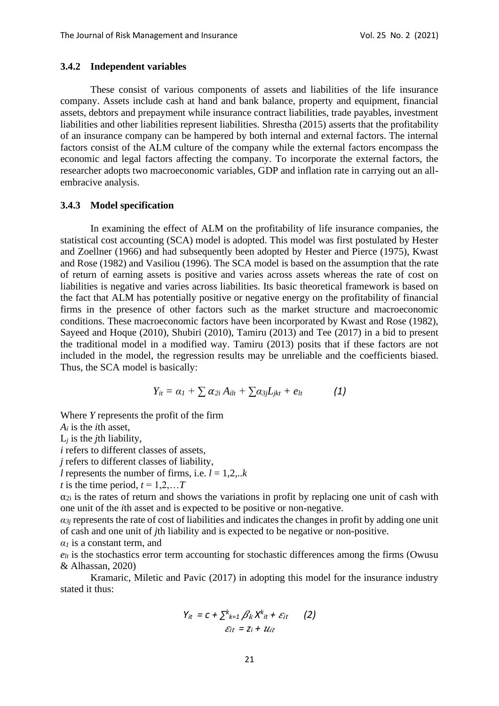#### **3.4.2 Independent variables**

These consist of various components of assets and liabilities of the life insurance company. Assets include cash at hand and bank balance, property and equipment, financial assets, debtors and prepayment while insurance contract liabilities, trade payables, investment liabilities and other liabilities represent liabilities. Shrestha (2015) asserts that the profitability of an insurance company can be hampered by both internal and external factors. The internal factors consist of the ALM culture of the company while the external factors encompass the economic and legal factors affecting the company. To incorporate the external factors, the researcher adopts two macroeconomic variables, GDP and inflation rate in carrying out an allembracive analysis.

#### **3.4.3 Model specification**

In examining the effect of ALM on the profitability of life insurance companies, the statistical cost accounting (SCA) model is adopted. This model was first postulated by Hester and Zoellner (1966) and had subsequently been adopted by Hester and Pierce (1975), Kwast and Rose (1982) and Vasiliou (1996). The SCA model is based on the assumption that the rate of return of earning assets is positive and varies across assets whereas the rate of cost on liabilities is negative and varies across liabilities. Its basic theoretical framework is based on the fact that ALM has potentially positive or negative energy on the profitability of financial firms in the presence of other factors such as the market structure and macroeconomic conditions. These macroeconomic factors have been incorporated by Kwast and Rose (1982), Sayeed and Hoque (2010), Shubiri (2010), Tamiru (2013) and Tee (2017) in a bid to present the traditional model in a modified way. Tamiru (2013) posits that if these factors are not included in the model, the regression results may be unreliable and the coefficients biased. Thus, the SCA model is basically:

$$
Y_{it} = \alpha_I + \sum \alpha_{2i} A_{ilt} + \sum \alpha_{3j} L_{jkt} + e_{lt}
$$
 (1)

Where *Y* represents the profit of the firm

*A<sup>i</sup>* is the *i*th asset,

L*<sup>j</sup>* is the *j*th liability,

*i* refers to different classes of assets,

*j* refers to different classes of liability,

*l* represents the number of firms, i.e.  $l = 1,2...k$ 

*t* is the time period,  $t = 1,2,...T$ 

 $\alpha_{2i}$  is the rates of return and shows the variations in profit by replacing one unit of cash with one unit of the *i*th asset and is expected to be positive or non-negative.

 $a_{3i}$  represents the rate of cost of liabilities and indicates the changes in profit by adding one unit of cash and one unit of *j*th liability and is expected to be negative or non-positive.

*α<sup>1</sup>* is a constant term, and

 $e_{lt}$  is the stochastics error term accounting for stochastic differences among the firms (Owusu & Alhassan, 2020)

Kramaric, Miletic and Pavic (2017) in adopting this model for the insurance industry stated it thus:

$$
Y_{it} = c + \sum_{k=1}^{k} \beta_k X_{it}^{k} + \varepsilon_{it}
$$
 (2)  

$$
\varepsilon_{it} = z_i + u_{it}
$$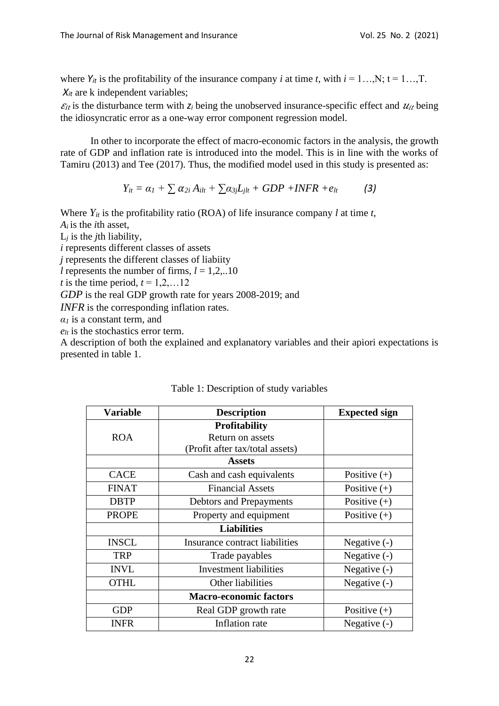where  $Y_{it}$  is the profitability of the insurance company *i* at time *t*, with  $i = 1...N$ ;  $t = 1...T$ .  $X_{it}$  are k independent variables;

 $\varepsilon_{it}$  is the disturbance term with  $z_i$  being the unobserved insurance-specific effect and  $u_{it}$  being the idiosyncratic error as a one-way error component regression model.

In other to incorporate the effect of macro-economic factors in the analysis, the growth rate of GDP and inflation rate is introduced into the model. This is in line with the works of Tamiru (2013) and Tee (2017). Thus, the modified model used in this study is presented as:

$$
Y_{it} = \alpha_1 + \sum \alpha_{2i} A_{ilt} + \sum \alpha_{3j} L_{jlt} + GDP + INFR + e_{lt}
$$
 (3)

Where  $Y_{it}$  is the profitability ratio (ROA) of life insurance company *l* at time *t*, *Ai* is the *i*th asset,

L*<sup>j</sup>* is the *j*th liability,

*i* represents different classes of assets

*j* represents the different classes of liabiity

*l* represents the number of firms,  $l = 1,2,...10$ 

*t* is the time period,  $t = 1, 2, \ldots 12$ 

*GDP* is the real GDP growth rate for years 2008-2019; and

*INFR* is the corresponding inflation rates.

*α<sup>1</sup>* is a constant term, and

 $e_{lt}$  is the stochastics error term.

A description of both the explained and explanatory variables and their apiori expectations is presented in table 1.

| <b>Variable</b> | <b>Description</b>              | <b>Expected sign</b> |
|-----------------|---------------------------------|----------------------|
|                 | <b>Profitability</b>            |                      |
| <b>ROA</b>      | Return on assets                |                      |
|                 | (Profit after tax/total assets) |                      |
|                 | <b>Assets</b>                   |                      |
| <b>CACE</b>     | Cash and cash equivalents       | Positive $(+)$       |
| <b>FINAT</b>    | <b>Financial Assets</b>         | Positive $(+)$       |
| <b>DBTP</b>     | Debtors and Prepayments         | Positive $(+)$       |
| <b>PROPE</b>    | Property and equipment          | Positive $(+)$       |
|                 |                                 |                      |
| <b>INSCL</b>    | Insurance contract liabilities  | Negative $(-)$       |
| <b>TRP</b>      | Trade payables                  | Negative $(-)$       |
| <b>INVL</b>     | <b>Investment liabilities</b>   | Negative $(-)$       |
| <b>OTHL</b>     | Other liabilities               | Negative $(-)$       |
|                 | <b>Macro-economic factors</b>   |                      |
| <b>GDP</b>      | Real GDP growth rate            | Positive $(+)$       |
| <b>INFR</b>     | Inflation rate                  | Negative $(-)$       |

## Table 1: Description of study variables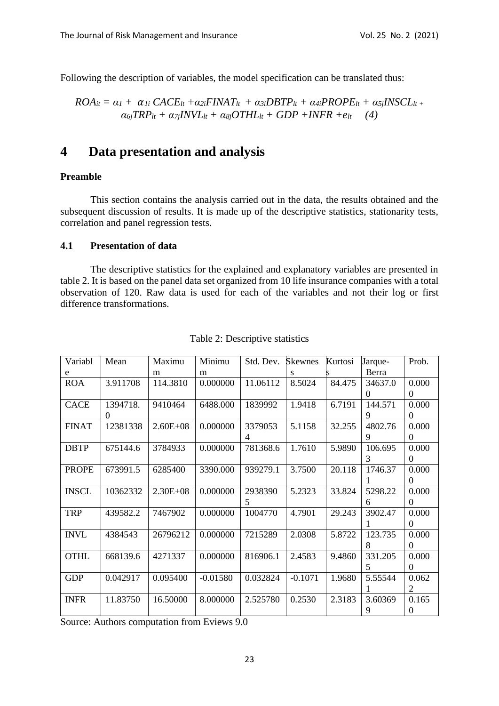Following the description of variables, the model specification can be translated thus:

$$
ROA_{it} = \alpha_I + \alpha_{Ii} CACE_{lt} + \alpha_{2i} FINAT_{lt} + \alpha_{3i} DBTP_{lt} + \alpha_{4i} PROPE_{lt} + \alpha_{5j} INSCL_{lt} + \alpha_{6j} TRP_{lt} + \alpha_{7j} INVL_{lt} + \alpha_{8j} OTHL_{lt} + GDP + INFR + e_{lt} \quad (4)
$$

# **4 Data presentation and analysis**

#### **Preamble**

This section contains the analysis carried out in the data, the results obtained and the subsequent discussion of results. It is made up of the descriptive statistics, stationarity tests, correlation and panel regression tests.

## **4.1 Presentation of data**

The descriptive statistics for the explained and explanatory variables are presented in table 2. It is based on the panel data set organized from 10 life insurance companies with a total observation of 120. Raw data is used for each of the variables and not their log or first difference transformations.

| Variabl      | Mean     | Maximu       | Minimu     | Std. Dev.      | <b>Skewnes</b> | Kurtosi | Jarque-  | Prob.            |
|--------------|----------|--------------|------------|----------------|----------------|---------|----------|------------------|
| e            |          | m            | m          |                | s              |         | Berra    |                  |
| <b>ROA</b>   | 3.911708 | 114.3810     | 0.000000   | 11.06112       | 8.5024         | 84.475  | 34637.0  | 0.000            |
|              |          |              |            |                |                |         | $\Omega$ | $\overline{0}$   |
| <b>CACE</b>  | 1394718. | 9410464      | 6488.000   | 1839992        | 1.9418         | 6.7191  | 144.571  | 0.000            |
|              | $\theta$ |              |            |                |                |         | 9        | $\Omega$         |
| <b>FINAT</b> | 12381338 | $2.60E + 08$ | 0.000000   | 3379053        | 5.1158         | 32.255  | 4802.76  | 0.000            |
|              |          |              |            | $\overline{4}$ |                |         | 9        | $\boldsymbol{0}$ |
| <b>DBTP</b>  | 675144.6 | 3784933      | 0.000000   | 781368.6       | 1.7610         | 5.9890  | 106.695  | 0.000            |
|              |          |              |            |                |                |         | 3        | $\overline{0}$   |
| <b>PROPE</b> | 673991.5 | 6285400      | 3390.000   | 939279.1       | 3.7500         | 20.118  | 1746.37  | 0.000            |
|              |          |              |            |                |                |         |          | $\Omega$         |
| <b>INSCL</b> | 10362332 | $2.30E + 08$ | 0.000000   | 2938390        | 5.2323         | 33.824  | 5298.22  | 0.000            |
|              |          |              |            | 5              |                |         | 6        | $\overline{0}$   |
| <b>TRP</b>   | 439582.2 | 7467902      | 0.000000   | 1004770        | 4.7901         | 29.243  | 3902.47  | 0.000            |
|              |          |              |            |                |                |         |          | $\Omega$         |
| <b>INVL</b>  | 4384543  | 26796212     | 0.000000   | 7215289        | 2.0308         | 5.8722  | 123.735  | 0.000            |
|              |          |              |            |                |                |         | 8        | $\Omega$         |
| <b>OTHL</b>  | 668139.6 | 4271337      | 0.000000   | 816906.1       | 2.4583         | 9.4860  | 331.205  | 0.000            |
|              |          |              |            |                |                |         | 5        | $\Omega$         |
| <b>GDP</b>   | 0.042917 | 0.095400     | $-0.01580$ | 0.032824       | $-0.1071$      | 1.9680  | 5.55544  | 0.062            |
|              |          |              |            |                |                |         |          | $\overline{2}$   |
| <b>INFR</b>  | 11.83750 | 16.50000     | 8.000000   | 2.525780       | 0.2530         | 2.3183  | 3.60369  | 0.165            |
|              |          |              |            |                |                |         | 9        | $\boldsymbol{0}$ |

#### Table 2: Descriptive statistics

Source: Authors computation from Eviews 9.0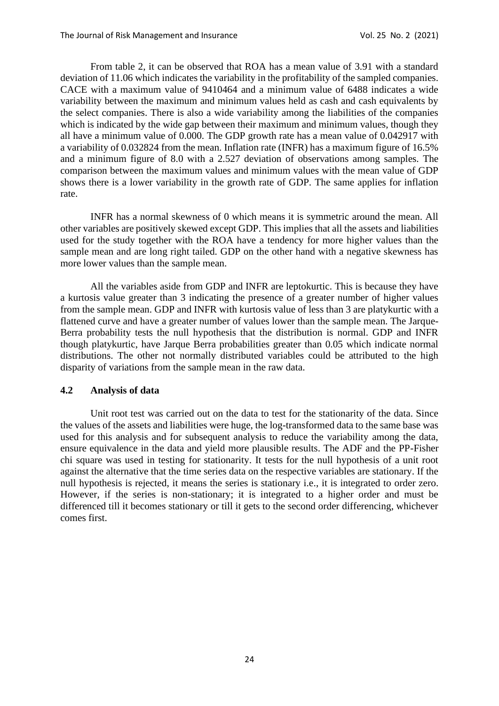From table 2, it can be observed that ROA has a mean value of 3.91 with a standard deviation of 11.06 which indicates the variability in the profitability of the sampled companies. CACE with a maximum value of 9410464 and a minimum value of 6488 indicates a wide variability between the maximum and minimum values held as cash and cash equivalents by the select companies. There is also a wide variability among the liabilities of the companies which is indicated by the wide gap between their maximum and minimum values, though they all have a minimum value of 0.000. The GDP growth rate has a mean value of 0.042917 with a variability of 0.032824 from the mean. Inflation rate (INFR) has a maximum figure of 16.5% and a minimum figure of 8.0 with a 2.527 deviation of observations among samples. The comparison between the maximum values and minimum values with the mean value of GDP shows there is a lower variability in the growth rate of GDP. The same applies for inflation rate.

INFR has a normal skewness of 0 which means it is symmetric around the mean. All other variables are positively skewed except GDP. This implies that all the assets and liabilities used for the study together with the ROA have a tendency for more higher values than the sample mean and are long right tailed. GDP on the other hand with a negative skewness has more lower values than the sample mean.

All the variables aside from GDP and INFR are leptokurtic. This is because they have a kurtosis value greater than 3 indicating the presence of a greater number of higher values from the sample mean. GDP and INFR with kurtosis value of less than 3 are platykurtic with a flattened curve and have a greater number of values lower than the sample mean. The Jarque-Berra probability tests the null hypothesis that the distribution is normal. GDP and INFR though platykurtic, have Jarque Berra probabilities greater than 0.05 which indicate normal distributions. The other not normally distributed variables could be attributed to the high disparity of variations from the sample mean in the raw data.

#### **4.2 Analysis of data**

Unit root test was carried out on the data to test for the stationarity of the data. Since the values of the assets and liabilities were huge, the log-transformed data to the same base was used for this analysis and for subsequent analysis to reduce the variability among the data, ensure equivalence in the data and yield more plausible results. The ADF and the PP-Fisher chi square was used in testing for stationarity. It tests for the null hypothesis of a unit root against the alternative that the time series data on the respective variables are stationary. If the null hypothesis is rejected, it means the series is stationary i.e., it is integrated to order zero. However, if the series is non-stationary; it is integrated to a higher order and must be differenced till it becomes stationary or till it gets to the second order differencing, whichever comes first.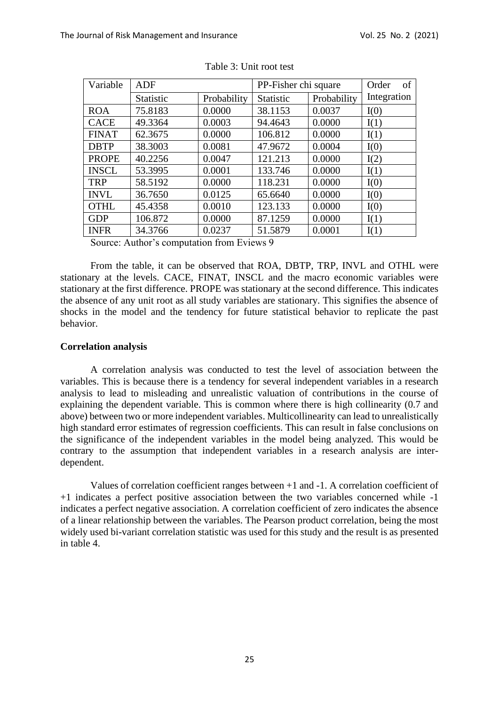| Variable     | <b>ADF</b> |             | PP-Fisher chi square | of<br>Order |             |
|--------------|------------|-------------|----------------------|-------------|-------------|
|              | Statistic  | Probability | Statistic            | Probability | Integration |
| <b>ROA</b>   | 75.8183    | 0.0000      | 38.1153              | 0.0037      | I(0)        |
| <b>CACE</b>  | 49.3364    | 0.0003      | 94.4643              | 0.0000      | I(1)        |
| <b>FINAT</b> | 62.3675    | 0.0000      | 106.812              | 0.0000      | I(1)        |
| <b>DBTP</b>  | 38.3003    | 0.0081      | 47.9672              | 0.0004      | I(0)        |
| <b>PROPE</b> | 40.2256    | 0.0047      | 121.213              | 0.0000      | I(2)        |
| <b>INSCL</b> | 53.3995    | 0.0001      | 133.746              | 0.0000      | I(1)        |
| <b>TRP</b>   | 58.5192    | 0.0000      | 118.231              | 0.0000      | I(0)        |
| <b>INVL</b>  | 36.7650    | 0.0125      | 65.6640              | 0.0000      | I(0)        |
| <b>OTHL</b>  | 45.4358    | 0.0010      | 123.133              | 0.0000      | I(0)        |
| <b>GDP</b>   | 106.872    | 0.0000      | 87.1259              | 0.0000      | I(1)        |
| <b>INFR</b>  | 34.3766    | 0.0237      | 51.5879              | 0.0001      | I(1)        |

Table 3: Unit root test

Source: Author's computation from Eviews 9

From the table, it can be observed that ROA, DBTP, TRP, INVL and OTHL were stationary at the levels. CACE, FINAT, INSCL and the macro economic variables were stationary at the first difference. PROPE was stationary at the second difference. This indicates the absence of any unit root as all study variables are stationary. This signifies the absence of shocks in the model and the tendency for future statistical behavior to replicate the past behavior.

#### **Correlation analysis**

A correlation analysis was conducted to test the level of association between the variables. This is because there is a tendency for several independent variables in a research analysis to lead to misleading and unrealistic valuation of contributions in the course of explaining the dependent variable. This is common where there is high collinearity (0.7 and above) between two or more independent variables. Multicollinearity can lead to unrealistically high standard error estimates of regression coefficients. This can result in false conclusions on the significance of the independent variables in the model being analyzed. This would be contrary to the assumption that independent variables in a research analysis are interdependent.

Values of correlation coefficient ranges between +1 and -1. A correlation coefficient of +1 indicates a perfect positive association between the two variables concerned while -1 indicates a perfect negative association. A correlation coefficient of zero indicates the absence of a linear relationship between the variables. The Pearson product correlation, being the most widely used bi-variant correlation statistic was used for this study and the result is as presented in table 4.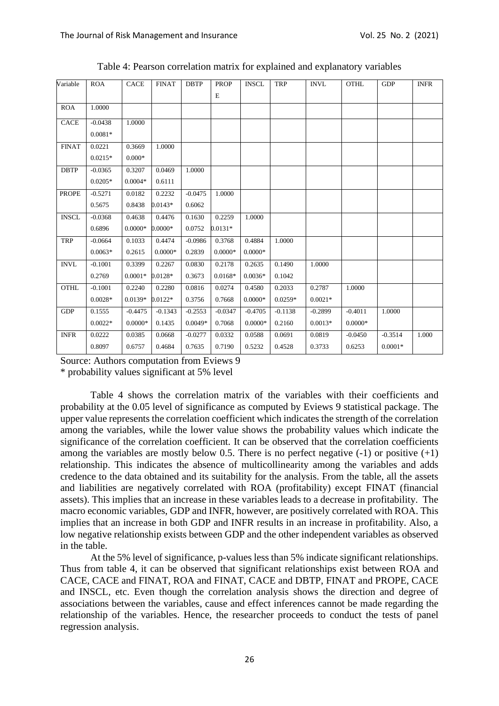| Variable     | <b>ROA</b> | <b>CACE</b> | <b>FINAT</b> | <b>DBTP</b> | <b>PROP</b> | <b>INSCL</b> | <b>TRP</b> | <b>INVL</b> | <b>OTHL</b> | <b>GDP</b> | <b>INFR</b> |
|--------------|------------|-------------|--------------|-------------|-------------|--------------|------------|-------------|-------------|------------|-------------|
|              |            |             |              |             | E           |              |            |             |             |            |             |
| <b>ROA</b>   | 1.0000     |             |              |             |             |              |            |             |             |            |             |
| <b>CACE</b>  | $-0.0438$  | 1.0000      |              |             |             |              |            |             |             |            |             |
|              | $0.0081*$  |             |              |             |             |              |            |             |             |            |             |
| <b>FINAT</b> | 0.0221     | 0.3669      | 1.0000       |             |             |              |            |             |             |            |             |
|              | $0.0215*$  | $0.000*$    |              |             |             |              |            |             |             |            |             |
| <b>DBTP</b>  | $-0.0365$  | 0.3207      | 0.0469       | 1.0000      |             |              |            |             |             |            |             |
|              | $0.0205*$  | $0.0004*$   | 0.6111       |             |             |              |            |             |             |            |             |
| <b>PROPE</b> | $-0.5271$  | 0.0182      | 0.2232       | $-0.0475$   | 1.0000      |              |            |             |             |            |             |
|              | 0.5675     | 0.8438      | $0.0143*$    | 0.6062      |             |              |            |             |             |            |             |
| <b>INSCL</b> | $-0.0368$  | 0.4638      | 0.4476       | 0.1630      | 0.2259      | 1.0000       |            |             |             |            |             |
|              | 0.6896     | $0.0000*$   | $0.0000*$    | 0.0752      | $0.0131*$   |              |            |             |             |            |             |
| <b>TRP</b>   | $-0.0664$  | 0.1033      | 0.4474       | $-0.0986$   | 0.3768      | 0.4884       | 1.0000     |             |             |            |             |
|              | $0.0063*$  | 0.2615      | $0.0000*$    | 0.2839      | $0.0000*$   | $0.0000*$    |            |             |             |            |             |
| <b>INVL</b>  | $-0.1001$  | 0.3399      | 0.2267       | 0.0830      | 0.2178      | 0.2635       | 0.1490     | 1.0000      |             |            |             |
|              | 0.2769     | $0.0001*$   | $0.0128*$    | 0.3673      | $0.0168*$   | $0.0036*$    | 0.1042     |             |             |            |             |
| <b>OTHL</b>  | $-0.1001$  | 0.2240      | 0.2280       | 0.0816      | 0.0274      | 0.4580       | 0.2033     | 0.2787      | 1.0000      |            |             |
|              | $0.0028*$  | $0.0139*$   | $0.0122*$    | 0.3756      | 0.7668      | $0.0000*$    | $0.0259*$  | $0.0021*$   |             |            |             |
| <b>GDP</b>   | 0.1555     | $-0.4475$   | $-0.1343$    | $-0.2553$   | $-0.0347$   | $-0.4705$    | $-0.1138$  | $-0.2899$   | $-0.4011$   | 1.0000     |             |
|              | $0.0022*$  | $0.0000*$   | 0.1435       | $0.0049*$   | 0.7068      | $0.0000*$    | 0.2160     | $0.0013*$   | $0.0000*$   |            |             |
| <b>INFR</b>  | 0.0222     | 0.0385      | 0.0668       | $-0.0277$   | 0.0332      | 0.0588       | 0.0691     | 0.0819      | $-0.0450$   | $-0.3514$  | 1.000       |
|              | 0.8097     | 0.6757      | 0.4684       | 0.7635      | 0.7190      | 0.5232       | 0.4528     | 0.3733      | 0.6253      | $0.0001*$  |             |

Table 4: Pearson correlation matrix for explained and explanatory variables

Source: Authors computation from Eviews 9

\* probability values significant at 5% level

Table 4 shows the correlation matrix of the variables with their coefficients and probability at the 0.05 level of significance as computed by Eviews 9 statistical package. The upper value represents the correlation coefficient which indicates the strength of the correlation among the variables, while the lower value shows the probability values which indicate the significance of the correlation coefficient. It can be observed that the correlation coefficients among the variables are mostly below 0.5. There is no perfect negative  $(-1)$  or positive  $(+1)$ relationship. This indicates the absence of multicollinearity among the variables and adds credence to the data obtained and its suitability for the analysis. From the table, all the assets and liabilities are negatively correlated with ROA (profitability) except FINAT (financial assets). This implies that an increase in these variables leads to a decrease in profitability. The macro economic variables, GDP and INFR, however, are positively correlated with ROA. This implies that an increase in both GDP and INFR results in an increase in profitability. Also, a low negative relationship exists between GDP and the other independent variables as observed in the table.

At the 5% level of significance, p-values less than 5% indicate significant relationships. Thus from table 4, it can be observed that significant relationships exist between ROA and CACE, CACE and FINAT, ROA and FINAT, CACE and DBTP, FINAT and PROPE, CACE and INSCL, etc. Even though the correlation analysis shows the direction and degree of associations between the variables, cause and effect inferences cannot be made regarding the relationship of the variables. Hence, the researcher proceeds to conduct the tests of panel regression analysis.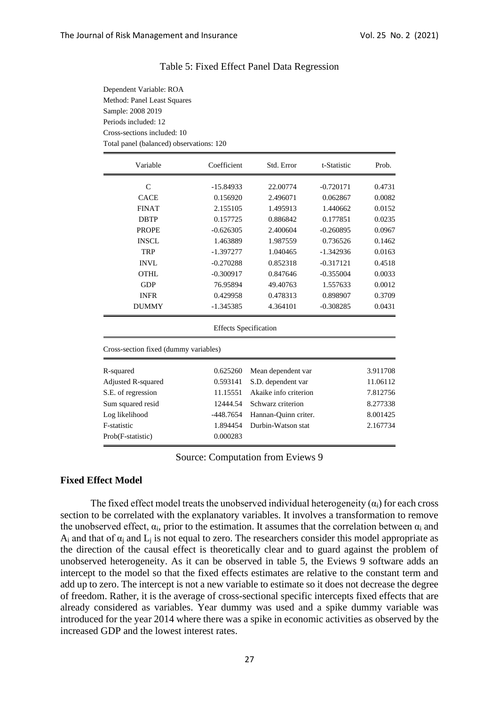Dependent Variable: ROA Method: Panel Least Squares

Sample: 2008 2019 Periods included: 12

| Cross-sections included: 10<br>Total panel (balanced) observations: 120 |                              |                                  |             |          |  |  |
|-------------------------------------------------------------------------|------------------------------|----------------------------------|-------------|----------|--|--|
| Variable                                                                | Coefficient                  | Std. Error                       | t-Statistic | Prob.    |  |  |
| $\mathcal{C}$                                                           | $-15.84933$                  | 22.00774                         | $-0.720171$ | 0.4731   |  |  |
| <b>CACE</b>                                                             | 0.156920                     | 2.496071                         | 0.062867    | 0.0082   |  |  |
| <b>FINAT</b>                                                            | 2.155105                     | 1.495913                         | 1.440662    | 0.0152   |  |  |
| <b>DBTP</b>                                                             | 0.157725                     | 0.886842                         | 0.177851    | 0.0235   |  |  |
| <b>PROPE</b>                                                            | $-0.626305$                  | 2.400604                         | $-0.260895$ | 0.0967   |  |  |
| <b>INSCL</b>                                                            | 1.463889                     | 1.987559                         | 0.736526    | 0.1462   |  |  |
| <b>TRP</b>                                                              | $-1.397277$                  | 1.040465                         | $-1.342936$ | 0.0163   |  |  |
| <b>INVL</b>                                                             | $-0.270288$                  | 0.852318                         | $-0.317121$ | 0.4518   |  |  |
| <b>OTHL</b>                                                             | $-0.300917$                  | 0.847646                         | $-0.355004$ | 0.0033   |  |  |
| <b>GDP</b>                                                              | 76.95894                     | 49.40763                         | 1.557633    | 0.0012   |  |  |
| <b>INFR</b>                                                             | 0.429958                     | 0.478313                         | 0.898907    | 0.3709   |  |  |
| <b>DUMMY</b>                                                            | $-1.345385$                  | 4.364101                         | $-0.308285$ | 0.0431   |  |  |
|                                                                         | <b>Effects Specification</b> |                                  |             |          |  |  |
| Cross-section fixed (dummy variables)                                   |                              |                                  |             |          |  |  |
| R-squared                                                               | 0.625260                     | Mean dependent var               |             | 3.911708 |  |  |
| <b>Adjusted R-squared</b>                                               | 0.593141                     | S.D. dependent var               |             | 11.06112 |  |  |
| S.E. of regression                                                      | 11.15551                     | Akaike info criterion            |             | 7.812756 |  |  |
| Sum squared resid<br>12444.54<br>Schwarz criterion<br>8.277338          |                              |                                  |             |          |  |  |
| Log likelihood                                                          | -448.7654                    | Hannan-Quinn criter.<br>8.001425 |             |          |  |  |

## Table 5: Fixed Effect Panel Data Regression

F-statistic 1.894454 Durbin-Watson stat 2.167734

Prob(F-statistic) 0.000283

Source: Computation from Eviews 9

#### **Fixed Effect Model**

The fixed effect model treats the unobserved individual heterogeneity  $(\alpha_i)$  for each cross section to be correlated with the explanatory variables. It involves a transformation to remove the unobserved effect,  $\alpha_i$ , prior to the estimation. It assumes that the correlation between  $\alpha_i$  and  $A_i$  and that of  $\alpha_i$  and  $L_i$  is not equal to zero. The researchers consider this model appropriate as the direction of the causal effect is theoretically clear and to guard against the problem of unobserved heterogeneity. As it can be observed in table 5, the Eviews 9 software adds an intercept to the model so that the fixed effects estimates are relative to the constant term and add up to zero. The intercept is not a new variable to estimate so it does not decrease the degree of freedom. Rather, it is the average of cross-sectional specific intercepts fixed effects that are already considered as variables. Year dummy was used and a spike dummy variable was introduced for the year 2014 where there was a spike in economic activities as observed by the increased GDP and the lowest interest rates.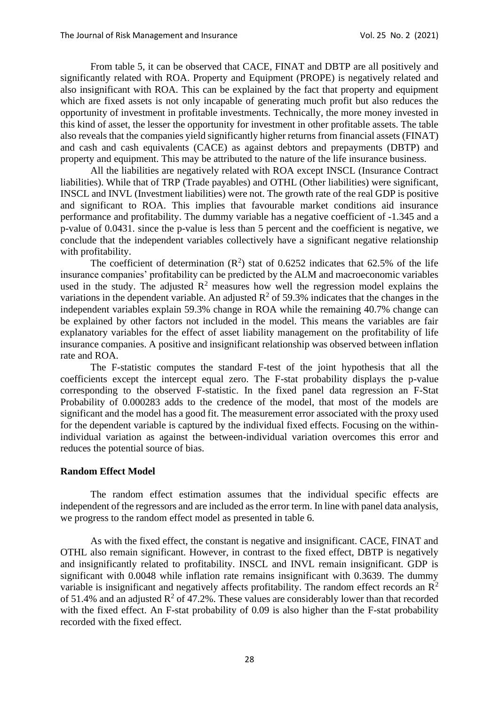From table 5, it can be observed that CACE, FINAT and DBTP are all positively and significantly related with ROA. Property and Equipment (PROPE) is negatively related and also insignificant with ROA. This can be explained by the fact that property and equipment which are fixed assets is not only incapable of generating much profit but also reduces the opportunity of investment in profitable investments. Technically, the more money invested in this kind of asset, the lesser the opportunity for investment in other profitable assets. The table also reveals that the companies yield significantly higher returns from financial assets (FINAT) and cash and cash equivalents (CACE) as against debtors and prepayments (DBTP) and property and equipment. This may be attributed to the nature of the life insurance business.

All the liabilities are negatively related with ROA except INSCL (Insurance Contract liabilities). While that of TRP (Trade payables) and OTHL (Other liabilities) were significant, INSCL and INVL (Investment liabilities) were not. The growth rate of the real GDP is positive and significant to ROA. This implies that favourable market conditions aid insurance performance and profitability. The dummy variable has a negative coefficient of -1.345 and a p-value of 0.0431. since the p-value is less than 5 percent and the coefficient is negative, we conclude that the independent variables collectively have a significant negative relationship with profitability.

The coefficient of determination  $(R^2)$  stat of 0.6252 indicates that 62.5% of the life insurance companies' profitability can be predicted by the ALM and macroeconomic variables used in the study. The adjusted  $R^2$  measures how well the regression model explains the variations in the dependent variable. An adjusted  $\mathbb{R}^2$  of 59.3% indicates that the changes in the independent variables explain 59.3% change in ROA while the remaining 40.7% change can be explained by other factors not included in the model. This means the variables are fair explanatory variables for the effect of asset liability management on the profitability of life insurance companies. A positive and insignificant relationship was observed between inflation rate and ROA.

The F-statistic computes the standard F-test of the joint hypothesis that all the coefficients except the intercept equal zero. The F-stat probability displays the p-value corresponding to the observed F-statistic. In the fixed panel data regression an F-Stat Probability of 0.000283 adds to the credence of the model, that most of the models are significant and the model has a good fit. The measurement error associated with the proxy used for the dependent variable is captured by the individual fixed effects. Focusing on the withinindividual variation as against the between-individual variation overcomes this error and reduces the potential source of bias.

#### **Random Effect Model**

The random effect estimation assumes that the individual specific effects are independent of the regressors and are included as the error term. In line with panel data analysis, we progress to the random effect model as presented in table 6.

As with the fixed effect, the constant is negative and insignificant. CACE, FINAT and OTHL also remain significant. However, in contrast to the fixed effect, DBTP is negatively and insignificantly related to profitability. INSCL and INVL remain insignificant. GDP is significant with 0.0048 while inflation rate remains insignificant with 0.3639. The dummy variable is insignificant and negatively affects profitability. The random effect records an  $\mathbb{R}^2$ of 51.4% and an adjusted  $R^2$  of 47.2%. These values are considerably lower than that recorded with the fixed effect. An F-stat probability of 0.09 is also higher than the F-stat probability recorded with the fixed effect.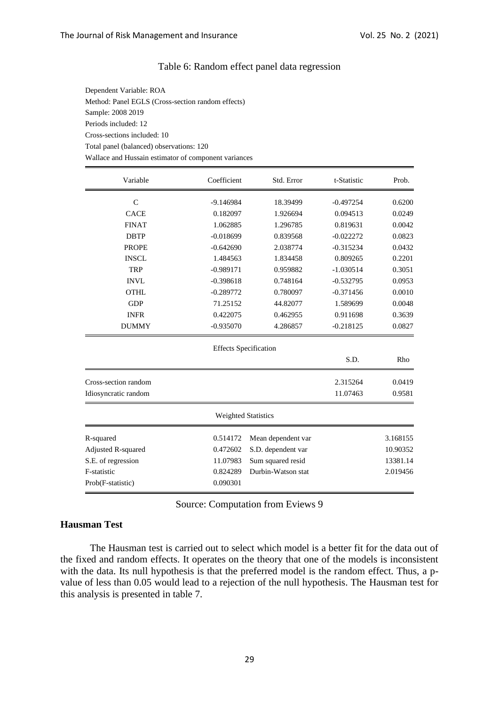#### Table 6: Random effect panel data regression

Dependent Variable: ROA Method: Panel EGLS (Cross-section random effects) Sample: 2008 2019 Periods included: 12 Cross-sections included: 10 Total panel (balanced) observations: 120 Wallace and Hussain estimator of component variances

| Variable             | Coefficient                  | Std. Error                     | t-Statistic | Prob.    |  |
|----------------------|------------------------------|--------------------------------|-------------|----------|--|
| $\mathcal{C}$        | $-9.146984$                  | 18.39499                       | $-0.497254$ | 0.6200   |  |
| <b>CACE</b>          | 0.182097                     | 1.926694                       | 0.094513    | 0.0249   |  |
| <b>FINAT</b>         | 1.062885                     | 1.296785                       | 0.819631    | 0.0042   |  |
| <b>DBTP</b>          | $-0.018699$                  | 0.839568                       | $-0.022272$ | 0.0823   |  |
| <b>PROPE</b>         | $-0.642690$                  | 2.038774                       | $-0.315234$ | 0.0432   |  |
| <b>INSCL</b>         | 1.484563                     | 1.834458                       | 0.809265    | 0.2201   |  |
| <b>TRP</b>           | $-0.989171$                  | 0.959882                       | $-1.030514$ | 0.3051   |  |
| <b>INVL</b>          | $-0.398618$                  | 0.748164                       | $-0.532795$ | 0.0953   |  |
| <b>OTHL</b>          | $-0.289772$                  | 0.780097                       | $-0.371456$ | 0.0010   |  |
| <b>GDP</b>           | 71.25152                     | 44.82077                       | 1.589699    | 0.0048   |  |
| <b>INFR</b>          | 0.422075                     | 0.462955                       | 0.911698    | 0.3639   |  |
| <b>DUMMY</b>         | $-0.935070$                  | 4.286857                       | $-0.218125$ | 0.0827   |  |
|                      | <b>Effects Specification</b> |                                |             |          |  |
|                      |                              |                                | S.D.        | Rho      |  |
| Cross-section random |                              |                                | 2.315264    | 0.0419   |  |
| Idiosyncratic random |                              |                                | 11.07463    | 0.9581   |  |
|                      | <b>Weighted Statistics</b>   |                                |             |          |  |
| R-squared            | 0.514172                     | Mean dependent var             |             | 3.168155 |  |
| Adjusted R-squared   | 0.472602                     | S.D. dependent var             |             | 10.90352 |  |
| S.E. of regression   | 11.07983                     | Sum squared resid<br>13381.14  |             |          |  |
| F-statistic          | 0.824289                     | Durbin-Watson stat<br>2.019456 |             |          |  |
| Prob(F-statistic)    | 0.090301                     |                                |             |          |  |

Source: Computation from Eviews 9

#### **Hausman Test**

The Hausman test is carried out to select which model is a better fit for the data out of the fixed and random effects. It operates on the theory that one of the models is inconsistent with the data. Its null hypothesis is that the preferred model is the random effect. Thus, a pvalue of less than 0.05 would lead to a rejection of the null hypothesis. The Hausman test for this analysis is presented in table 7.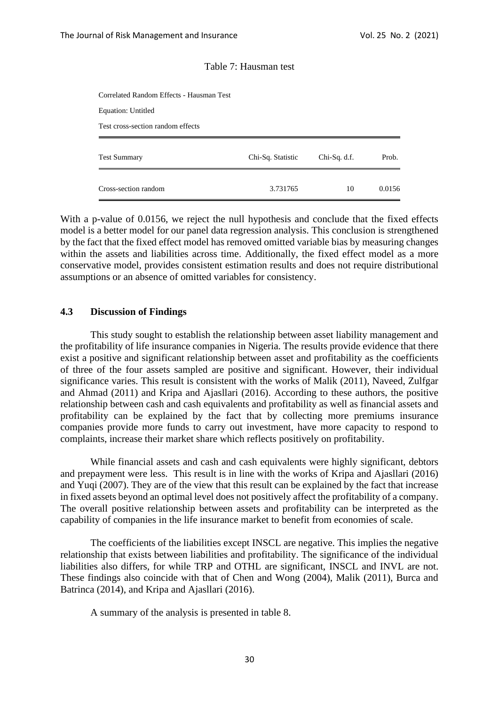#### Table 7: Hausman test

| Cross-section random                     | 3.731765          | 10           | 0.0156 |
|------------------------------------------|-------------------|--------------|--------|
| <b>Test Summary</b>                      | Chi-Sq. Statistic | Chi-Sq. d.f. | Prob.  |
| Test cross-section random effects        |                   |              |        |
| Equation: Untitled                       |                   |              |        |
| Correlated Random Effects - Hausman Test |                   |              |        |

With a p-value of 0.0156, we reject the null hypothesis and conclude that the fixed effects model is a better model for our panel data regression analysis. This conclusion is strengthened by the fact that the fixed effect model has removed omitted variable bias by measuring changes within the assets and liabilities across time. Additionally, the fixed effect model as a more conservative model, provides consistent estimation results and does not require distributional assumptions or an absence of omitted variables for consistency.

#### **4.3 Discussion of Findings**

This study sought to establish the relationship between asset liability management and the profitability of life insurance companies in Nigeria. The results provide evidence that there exist a positive and significant relationship between asset and profitability as the coefficients of three of the four assets sampled are positive and significant. However, their individual significance varies. This result is consistent with the works of Malik (2011), Naveed, Zulfgar and Ahmad (2011) and Kripa and Ajasllari (2016). According to these authors, the positive relationship between cash and cash equivalents and profitability as well as financial assets and profitability can be explained by the fact that by collecting more premiums insurance companies provide more funds to carry out investment, have more capacity to respond to complaints, increase their market share which reflects positively on profitability.

While financial assets and cash and cash equivalents were highly significant, debtors and prepayment were less. This result is in line with the works of Kripa and Ajasllari (2016) and Yuqi (2007). They are of the view that this result can be explained by the fact that increase in fixed assets beyond an optimal level does not positively affect the profitability of a company. The overall positive relationship between assets and profitability can be interpreted as the capability of companies in the life insurance market to benefit from economies of scale.

The coefficients of the liabilities except INSCL are negative. This implies the negative relationship that exists between liabilities and profitability. The significance of the individual liabilities also differs, for while TRP and OTHL are significant, INSCL and INVL are not. These findings also coincide with that of Chen and Wong (2004), Malik (2011), Burca and Batrinca (2014), and Kripa and Ajasllari (2016).

A summary of the analysis is presented in table 8.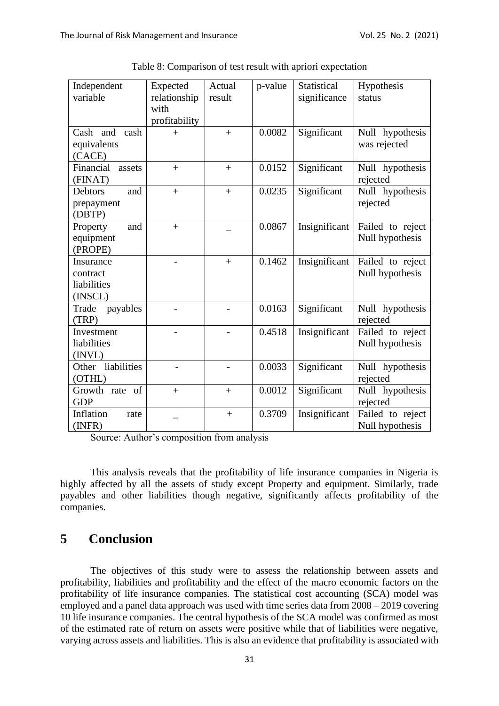| Independent<br>variable                         | Expected<br>relationship<br>with | Actual<br>result | p-value | Statistical<br>significance | Hypothesis<br>status                |
|-------------------------------------------------|----------------------------------|------------------|---------|-----------------------------|-------------------------------------|
|                                                 | profitability                    |                  |         |                             |                                     |
| Cash and<br>cash<br>equivalents<br>(CACE)       | $+$                              | $+$              | 0.0082  | Significant                 | Null hypothesis<br>was rejected     |
| Financial<br>assets<br>(FINAT)                  | $\ddot{}$                        | $+$              | 0.0152  | Significant                 | Null hypothesis<br>rejected         |
| <b>Debtors</b><br>and<br>prepayment<br>(DBTP)   | $\ddot{}$                        | $+$              | 0.0235  | Significant                 | Null hypothesis<br>rejected         |
| and<br>Property<br>equipment<br>(PROPE)         | $+$                              |                  | 0.0867  | Insignificant               | Failed to reject<br>Null hypothesis |
| Insurance<br>contract<br>liabilities<br>(INSCL) |                                  | $+$              | 0.1462  | Insignificant               | Failed to reject<br>Null hypothesis |
| Trade<br>payables<br>(TRP)                      |                                  |                  | 0.0163  | Significant                 | Null hypothesis<br>rejected         |
| Investment<br>liabilities<br>(INVL)             |                                  |                  | 0.4518  | Insignificant               | Failed to reject<br>Null hypothesis |
| liabilities<br>Other<br>(OTHL)                  |                                  |                  | 0.0033  | Significant                 | Null hypothesis<br>rejected         |
| of<br>Growth rate<br><b>GDP</b>                 | $+$                              | $+$              | 0.0012  | Significant                 | Null hypothesis<br>rejected         |
| Inflation<br>rate<br>(INFR)                     |                                  | $+$              | 0.3709  | Insignificant               | Failed to reject<br>Null hypothesis |

Table 8: Comparison of test result with apriori expectation

Source: Author's composition from analysis

This analysis reveals that the profitability of life insurance companies in Nigeria is highly affected by all the assets of study except Property and equipment. Similarly, trade payables and other liabilities though negative, significantly affects profitability of the companies.

## **5 Conclusion**

The objectives of this study were to assess the relationship between assets and profitability, liabilities and profitability and the effect of the macro economic factors on the profitability of life insurance companies. The statistical cost accounting (SCA) model was employed and a panel data approach was used with time series data from 2008 – 2019 covering 10 life insurance companies. The central hypothesis of the SCA model was confirmed as most of the estimated rate of return on assets were positive while that of liabilities were negative, varying across assets and liabilities. This is also an evidence that profitability is associated with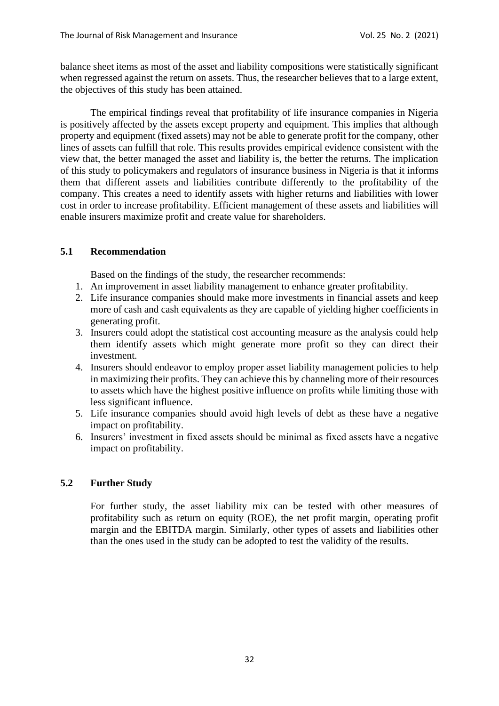balance sheet items as most of the asset and liability compositions were statistically significant when regressed against the return on assets. Thus, the researcher believes that to a large extent, the objectives of this study has been attained.

The empirical findings reveal that profitability of life insurance companies in Nigeria is positively affected by the assets except property and equipment. This implies that although property and equipment (fixed assets) may not be able to generate profit for the company, other lines of assets can fulfill that role. This results provides empirical evidence consistent with the view that, the better managed the asset and liability is, the better the returns. The implication of this study to policymakers and regulators of insurance business in Nigeria is that it informs them that different assets and liabilities contribute differently to the profitability of the company. This creates a need to identify assets with higher returns and liabilities with lower cost in order to increase profitability. Efficient management of these assets and liabilities will enable insurers maximize profit and create value for shareholders.

## **5.1 Recommendation**

Based on the findings of the study, the researcher recommends:

- 1. An improvement in asset liability management to enhance greater profitability.
- 2. Life insurance companies should make more investments in financial assets and keep more of cash and cash equivalents as they are capable of yielding higher coefficients in generating profit.
- 3. Insurers could adopt the statistical cost accounting measure as the analysis could help them identify assets which might generate more profit so they can direct their investment.
- 4. Insurers should endeavor to employ proper asset liability management policies to help in maximizing their profits. They can achieve this by channeling more of their resources to assets which have the highest positive influence on profits while limiting those with less significant influence.
- 5. Life insurance companies should avoid high levels of debt as these have a negative impact on profitability.
- 6. Insurers' investment in fixed assets should be minimal as fixed assets have a negative impact on profitability.

#### **5.2 Further Study**

For further study, the asset liability mix can be tested with other measures of profitability such as return on equity (ROE), the net profit margin, operating profit margin and the EBITDA margin. Similarly, other types of assets and liabilities other than the ones used in the study can be adopted to test the validity of the results.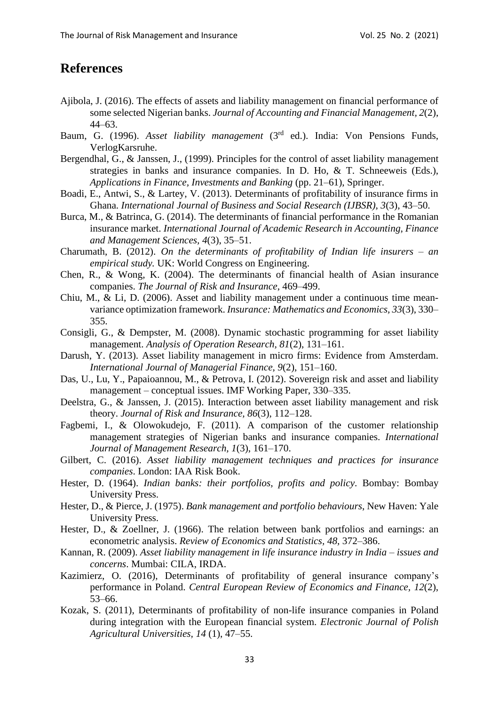# **References**

- Ajibola, J. (2016). The effects of assets and liability management on financial performance of some selected Nigerian banks. *Journal of Accounting and Financial Management, 2*(2), 44–63.
- Baum, G. (1996). *Asset liability management* (3<sup>rd</sup> ed.). India: Von Pensions Funds, VerlogKarsruhe.
- Bergendhal, G., & Janssen, J., (1999). Principles for the control of asset liability management strategies in banks and insurance companies. In D. Ho, & T. Schneeweis (Eds.), *Applications in Finance, Investments and Banking* (pp. 21–61), Springer.
- Boadi, E., Antwi, S., & Lartey, V. (2013). Determinants of profitability of insurance firms in Ghana. *International Journal of Business and Social Research (IJBSR)*, *3*(3), 43–50.
- Burca, M., & Batrinca, G. (2014). The determinants of financial performance in the Romanian insurance market. *International Journal of Academic Research in Accounting, Finance and Management Sciences, 4*(3), 35–51.
- Charumath, B. (2012). *On the determinants of profitability of Indian life insurers – an empirical study.* UK: World Congress on Engineering.
- Chen, R., & Wong, K. (2004). The determinants of financial health of Asian insurance companies. *The Journal of Risk and Insurance*, 469–499.
- Chiu, M., & Li, D. (2006). Asset and liability management under a continuous time meanvariance optimization framework. *Insurance: Mathematics and Economics, 33*(3), 330– 355.
- Consigli, G., & Dempster, M. (2008). Dynamic stochastic programming for asset liability management. *Analysis of Operation Research, 81*(2), 131–161.
- Darush, Y. (2013). Asset liability management in micro firms: Evidence from Amsterdam. *International Journal of Managerial Finance*, *9*(2), 151–160.
- Das, U., Lu, Y., Papaioannou, M., & Petrova, I. (2012). Sovereign risk and asset and liability management – conceptual issues. IMF Working Paper, 330–335.
- Deelstra, G., & Janssen, J. (2015). Interaction between asset liability management and risk theory. *Journal of Risk and Insurance, 86*(3), 112–128.
- Fagbemi, I., & Olowokudejo, F. (2011). A comparison of the customer relationship management strategies of Nigerian banks and insurance companies. *International Journal of Management Research, 1*(3), 161–170.
- Gilbert, C. (2016). *Asset liability management techniques and practices for insurance companies*. London: IAA Risk Book.
- Hester, D. (1964). *Indian banks: their portfolios, profits and policy*. Bombay: Bombay University Press.
- Hester, D., & Pierce, J. (1975). *Bank management and portfolio behaviours*, New Haven: Yale University Press.
- Hester, D., & Zoellner, J. (1966). The relation between bank portfolios and earnings: an econometric analysis. *Review of Economics and Statistics, 48,* 372–386.
- Kannan, R. (2009). *Asset liability management in life insurance industry in India – issues and concerns*. Mumbai: CILA, IRDA.
- Kazimierz, O. (2016), Determinants of profitability of general insurance company's performance in Poland. *Central European Review of Economics and Finance, 12*(2), 53–66.
- Kozak, S. (2011), Determinants of profitability of non-life insurance companies in Poland during integration with the European financial system. *Electronic Journal of Polish Agricultural Universities, 14* (1), 47–55.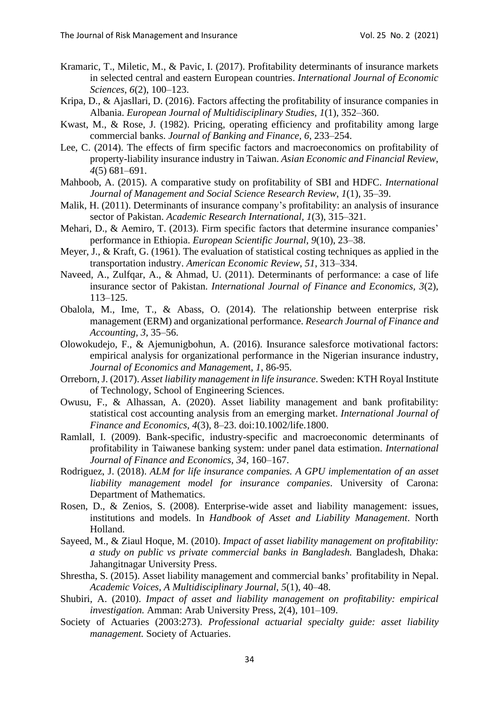- Kramaric, T., Miletic, M., & Pavic, I. (2017). Profitability determinants of insurance markets in selected central and eastern European countries. *International Journal of Economic Sciences*, *6*(2), 100–123.
- Kripa, D., & Ajasllari, D. (2016). Factors affecting the profitability of insurance companies in Albania. *European Journal of Multidisciplinary Studies, 1*(1), 352–360.
- Kwast, M., & Rose, J. (1982). Pricing, operating efficiency and profitability among large commercial banks. *Journal of Banking and Finance, 6*, 233–254.
- Lee, C. (2014). The effects of firm specific factors and macroeconomics on profitability of property-liability insurance industry in Taiwan. *Asian Economic and Financial Review*, *4*(5) 681–691.
- Mahboob, A. (2015). A comparative study on profitability of SBI and HDFC. *International Journal of Management and Social Science Research Review*, *1*(1), 35–39.
- Malik, H. (2011). Determinants of insurance company's profitability: an analysis of insurance sector of Pakistan. *Academic Research International, 1*(3), 315–321.
- Mehari, D., & Aemiro, T. (2013). Firm specific factors that determine insurance companies' performance in Ethiopia. *European Scientific Journal, 9*(10), 23–38.
- Meyer, J., & Kraft, G. (1961). The evaluation of statistical costing techniques as applied in the transportation industry. *American Economic Review*, *51*, 313–334.
- Naveed, A., Zulfqar, A., & Ahmad, U. (2011). Determinants of performance: a case of life insurance sector of Pakistan. *International Journal of Finance and Economics, 3*(2), 113–125.
- Obalola, M., Ime, T., & Abass, O. (2014). The relationship between enterprise risk management (ERM) and organizational performance. *Research Journal of Finance and Accounting, 3*, 35–56.
- Olowokudejo, F., & Ajemunigbohun, A. (2016). Insurance salesforce motivational factors: empirical analysis for organizational performance in the Nigerian insurance industry, *Journal of Economics and Managemen*t, *1*, 86-95.
- Orreborn, J. (2017). *Asset liability management in life insurance*. Sweden: KTH Royal Institute of Technology, School of Engineering Sciences.
- Owusu, F., & Alhassan, A. (2020). Asset liability management and bank profitability: statistical cost accounting analysis from an emerging market. *International Journal of Finance and Economics, 4*(3), 8–23. doi:10.1002/life.1800.
- Ramlall, I. (2009). Bank-specific, industry-specific and macroeconomic determinants of profitability in Taiwanese banking system: under panel data estimation. *International Journal of Finance and Economics, 34*, 160–167.
- Rodriguez, J. (2018). *ALM for life insurance companies. A GPU implementation of an asset liability management model for insurance companies*. University of Carona: Department of Mathematics.
- Rosen, D., & Zenios, S. (2008). Enterprise-wide asset and liability management: issues, institutions and models. In *Handbook of Asset and Liability Management*. North Holland.
- Sayeed, M., & Ziaul Hoque, M. (2010). *Impact of asset liability management on profitability: a study on public vs private commercial banks in Bangladesh.* Bangladesh, Dhaka: Jahangitnagar University Press.
- Shrestha, S. (2015). Asset liability management and commercial banks' profitability in Nepal. *Academic Voices, A Multidisciplinary Journal, 5*(1), 40–48.
- Shubiri, A. (2010). *Impact of asset and liability management on profitability: empirical investigation.* Amman: Arab University Press, 2(4), 101–109.
- Society of Actuaries (2003:273). *Professional actuarial specialty guide: asset liability management.* Society of Actuaries.